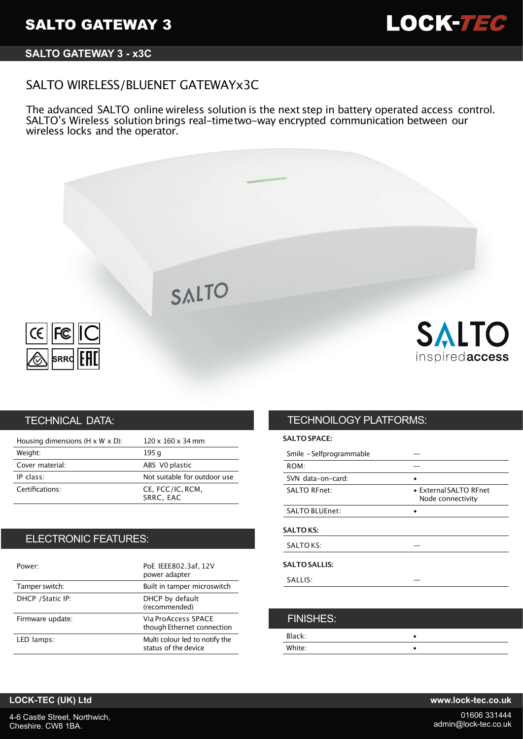

# **SALTO GATEWAY 3 - x3C**

# SALTO WIRELESS/BLUENET GATEWAYx3C

The advanced SALTO online wireless solution is the next step in battery operated access control. SALTO's Wireless solution brings real-timetwo-way encrypted communication between our wireless locks and the operator.



## TECHNICAL DATA:

| Housing dimensions ( $H \times W \times D$ ): | $120 \times 160 \times 34$ mm |
|-----------------------------------------------|-------------------------------|
| Weight:                                       | 195 g                         |
| Cover material:                               | ABS VO plastic                |
| IP class:                                     | Not suitable for outdoor use  |
| Certifications:                               | CE, FCC/IC, RCM,<br>SRRC, EAC |

## ELECTRONIC FEATURES:

| Power:            | PoE IEEE802.3af, 12V<br>power adapter                  |
|-------------------|--------------------------------------------------------|
| Tamper switch:    | Built in tamper microswitch                            |
| DHCP / Static IP: | DHCP by default<br>(recommended)                       |
| Firmware update:  | Via ProAccess SPACE<br>though Ethernet connection      |
| LED lamps:        | Multi colour led to notify the<br>status of the device |

# TECHNOILOGY PLATFORMS:

### **SALTO SPACE:**

| • External SALTO RFnet<br>Node connectivity |
|---------------------------------------------|
|                                             |
|                                             |
|                                             |
|                                             |
|                                             |
|                                             |

| <b>FINISHES:</b> |  |
|------------------|--|
| Black:           |  |
| White:           |  |

## **LOCK-TEC (UK) Ltd www.lock-tec.co.uk**

4-6 Castle Street, Northwich, Cheshire. CW8 1BA.